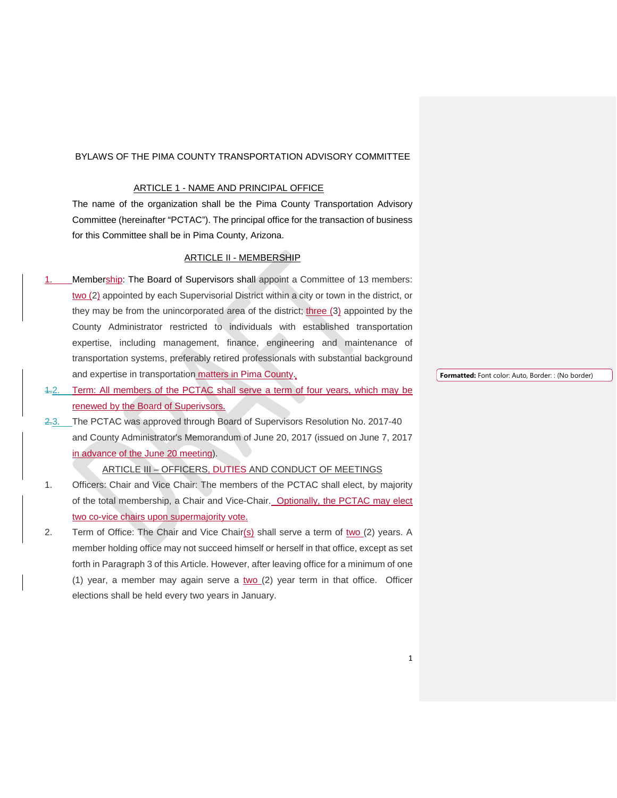#### BYLAWS OF THE PIMA COUNTY TRANSPORTATION ADVISORY COMMITTEE

### ARTICLE 1 - NAME AND PRINCIPAL OFFICE

The name of the organization shall be the Pima County Transportation Advisory Committee (hereinafter "PCTAC"). The principal office for the transaction of business for this Committee shall be in Pima County, Arizona.

#### ARTICLE II - MEMBERSHIP

- Membership: The Board of Supervisors shall appoint a Committee of 13 members: two (2) appointed by each Supervisorial District within a city or town in the district, or they may be from the unincorporated area of the district; three (3) appointed by the County Administrator restricted to individuals with established transportation expertise, including management, finance, engineering and maintenance of transportation systems, preferably retired professionals with substantial background and expertise in transportation matters in Pima County.
- 1.2. Term: All members of the PCTAC shall serve a term of four years, which may be renewed by the Board of Superivsors.
- 2.3. The PCTAC was approved through Board of Supervisors Resolution No. 2017-40 and County Administrator's Memorandum of June 20, 2017 (issued on June 7, 2017 in advance of the June 20 meeting).

ARTICLE III – OFFICERS, DUTIES AND CONDUCT OF MEETINGS

- 1. Officers: Chair and Vice Chair: The members of the PCTAC shall elect, by majority of the total membership, a Chair and Vice-Chair. Optionally, the PCTAC may elect two co-vice chairs upon supermajority vote.
- 2. Term of Office: The Chair and Vice Chair( $s$ ) shall serve a term of two  $(2)$  years. A member holding office may not succeed himself or herself in that office, except as set forth in Paragraph 3 of this Article. However, after leaving office for a minimum of one (1) year, a member may again serve a  $two$  (2) year term in that office. Officer elections shall be held every two years in January.

**Formatted:** Font color: Auto, Border: : (No border)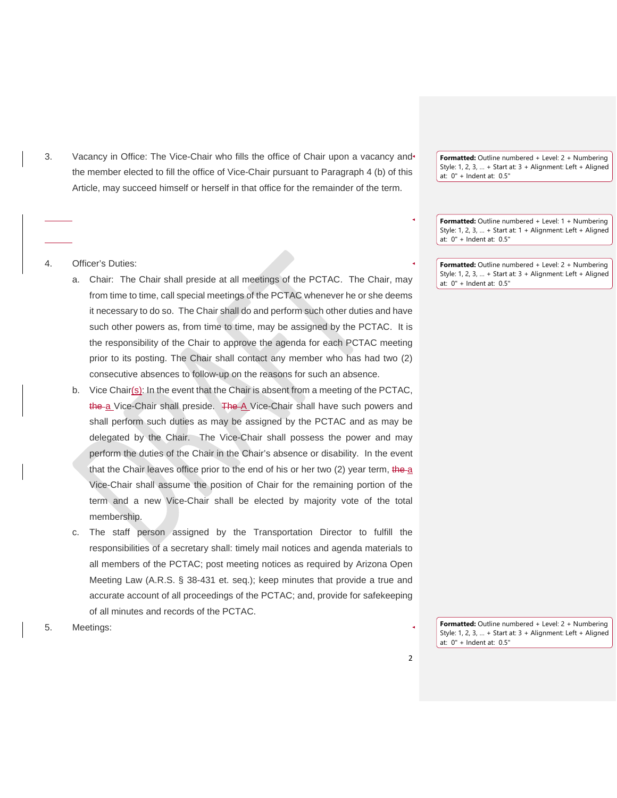3. Vacancy in Office: The Vice-Chair who fills the office of Chair upon a vacancy and the member elected to fill the office of Vice-Chair pursuant to Paragraph 4 (b) of this Article, may succeed himself or herself in that office for the remainder of the term.

**Formatted:** Outline numbered + Level: 2 + Numbering Style: 1, 2, 3, … + Start at: 3 + Alignment: Left + Aligned at: 0" + Indent at: 0.5"

**Formatted:** Outline numbered + Level: 1 + Numbering Style: 1, 2, 3, … + Start at: 1 + Alignment: Left + Aligned at: 0" + Indent at: 0.5"

**Formatted:** Outline numbered + Level: 2 + Numbering Style: 1, 2, 3, … + Start at: 3 + Alignment: Left + Aligned at: 0" + Indent at: 0.5"

### 4. Officer's Duties:

- a. Chair: The Chair shall preside at all meetings of the PCTAC. The Chair, may from time to time, call special meetings of the PCTAC whenever he or she deems it necessary to do so. The Chair shall do and perform such other duties and have such other powers as, from time to time, may be assigned by the PCTAC. It is the responsibility of the Chair to approve the agenda for each PCTAC meeting prior to its posting. The Chair shall contact any member who has had two (2) consecutive absences to follow-up on the reasons for such an absence.
- b. Vice Chair(s): In the event that the Chair is absent from a meeting of the PCTAC, the a Vice-Chair shall preside. The A Vice-Chair shall have such powers and shall perform such duties as may be assigned by the PCTAC and as may be delegated by the Chair. The Vice-Chair shall possess the power and may perform the duties of the Chair in the Chair's absence or disability. In the event that the Chair leaves office prior to the end of his or her two  $(2)$  year term, the a Vice-Chair shall assume the position of Chair for the remaining portion of the term and a new Vice-Chair shall be elected by majority vote of the total membership.
- c. The staff person assigned by the Transportation Director to fulfill the responsibilities of a secretary shall: timely mail notices and agenda materials to all members of the PCTAC; post meeting notices as required by Arizona Open Meeting Law (A.R.S. § 38-431 et. seq.); keep minutes that provide a true and accurate account of all proceedings of the PCTAC; and, provide for safekeeping of all minutes and records of the PCTAC.

**Formatted:** Outline numbered + Level: 2 + Numbering Style: 1, 2, 3, … + Start at: 3 + Alignment: Left + Aligned at: 0" + Indent at: 0.5"

5. Meetings: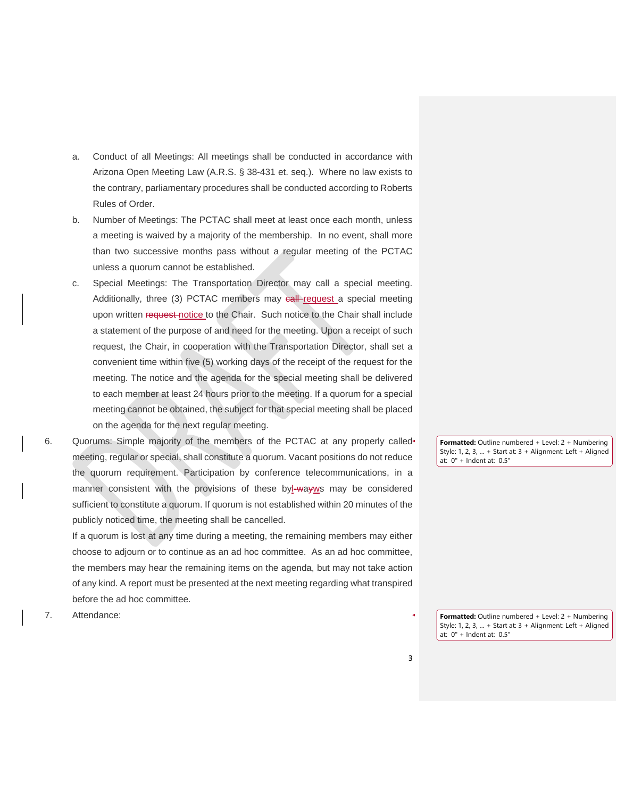- a. Conduct of all Meetings: All meetings shall be conducted in accordance with Arizona Open Meeting Law (A.R.S. § 38-431 et. seq.). Where no law exists to the contrary, parliamentary procedures shall be conducted according to Roberts Rules of Order.
- b. Number of Meetings: The PCTAC shall meet at least once each month, unless a meeting is waived by a majority of the membership. In no event, shall more than two successive months pass without a regular meeting of the PCTAC unless a quorum cannot be established.
- c. Special Meetings: The Transportation Director may call a special meeting. Additionally, three (3) PCTAC members may call-request a special meeting upon written request notice to the Chair. Such notice to the Chair shall include a statement of the purpose of and need for the meeting. Upon a receipt of such request, the Chair, in cooperation with the Transportation Director, shall set a convenient time within five (5) working days of the receipt of the request for the meeting. The notice and the agenda for the special meeting shall be delivered to each member at least 24 hours prior to the meeting. If a quorum for a special meeting cannot be obtained, the subject for that special meeting shall be placed on the agenda for the next regular meeting.
- 6. Quorums: Simple majority of the members of the PCTAC at any properly called meeting, regular or special, shall constitute a quorum. Vacant positions do not reduce the quorum requirement. Participation by conference telecommunications, in a manner consistent with the provisions of these byl-way ws may be considered sufficient to constitute a quorum. If quorum is not established within 20 minutes of the publicly noticed time, the meeting shall be cancelled.

If a quorum is lost at any time during a meeting, the remaining members may either choose to adjourn or to continue as an ad hoc committee. As an ad hoc committee, the members may hear the remaining items on the agenda, but may not take action of any kind. A report must be presented at the next meeting regarding what transpired before the ad hoc committee.

**Formatted:** Outline numbered + Level: 2 + Numbering Style: 1, 2, 3, … + Start at: 3 + Alignment: Left + Aligned at: 0" + Indent at: 0.5"

7. Attendance:

**Formatted:** Outline numbered + Level: 2 + Numbering Style: 1, 2, 3, … + Start at: 3 + Alignment: Left + Aligned at: 0" + Indent at: 0.5"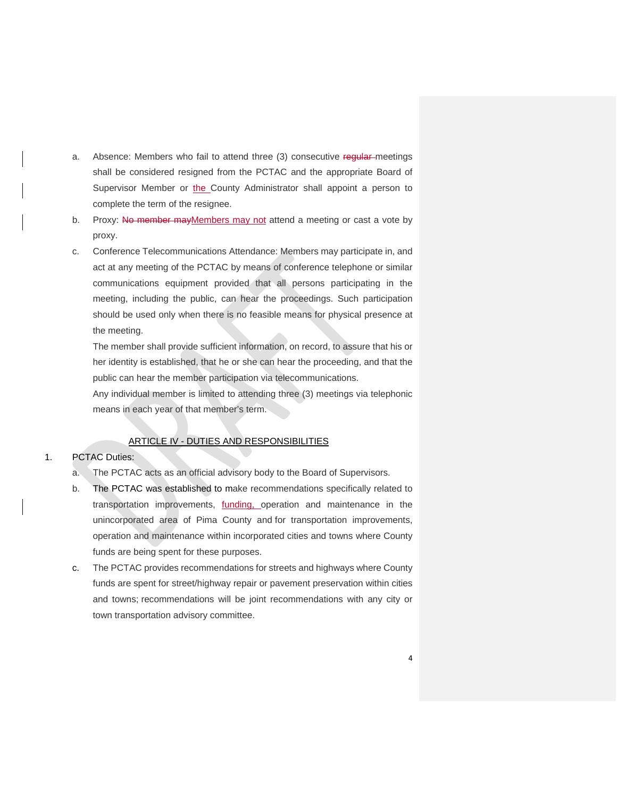- a. Absence: Members who fail to attend three (3) consecutive requiar-meetings shall be considered resigned from the PCTAC and the appropriate Board of Supervisor Member or the County Administrator shall appoint a person to complete the term of the resignee.
- b. Proxy: No member may Members may not attend a meeting or cast a vote by proxy.
- c. Conference Telecommunications Attendance: Members may participate in, and act at any meeting of the PCTAC by means of conference telephone or similar communications equipment provided that all persons participating in the meeting, including the public, can hear the proceedings. Such participation should be used only when there is no feasible means for physical presence at the meeting.

The member shall provide sufficient information, on record, to assure that his or her identity is established, that he or she can hear the proceeding, and that the public can hear the member participation via telecommunications.

Any individual member is limited to attending three (3) meetings via telephonic means in each year of that member's term.

### ARTICLE IV - DUTIES AND RESPONSIBILITIES

#### 1. PCTAC Duties:

- a. The PCTAC acts as an official advisory body to the Board of Supervisors.
- b. The PCTAC was established to make recommendations specifically related to transportation improvements, funding, operation and maintenance in the unincorporated area of Pima County and for transportation improvements, operation and maintenance within incorporated cities and towns where County funds are being spent for these purposes.
- c. The PCTAC provides recommendations for streets and highways where County funds are spent for street/highway repair or pavement preservation within cities and towns; recommendations will be joint recommendations with any city or town transportation advisory committee.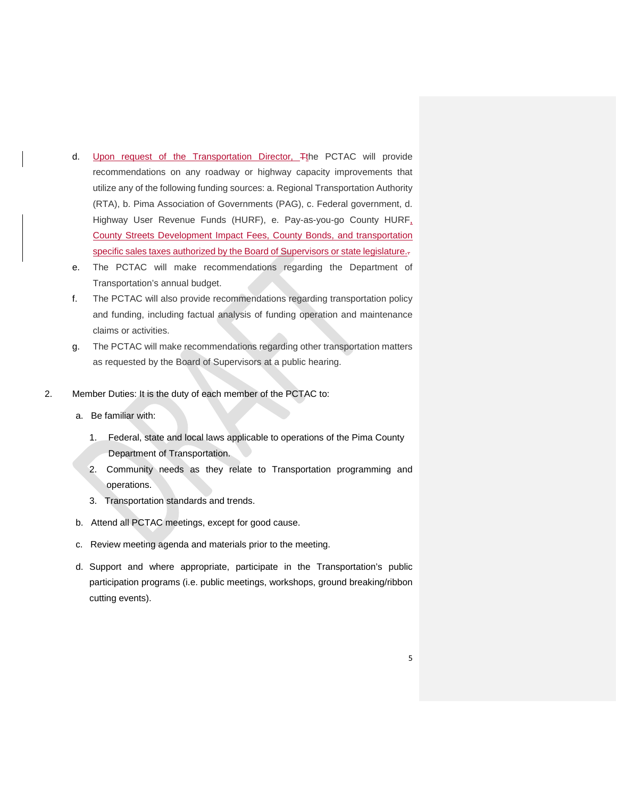- d. Upon request of the Transportation Director, Tthe PCTAC will provide recommendations on any roadway or highway capacity improvements that utilize any of the following funding sources: a. Regional Transportation Authority (RTA), b. Pima Association of Governments (PAG), c. Federal government, d. Highway User Revenue Funds (HURF), e. Pay-as-you-go County HURF, County Streets Development Impact Fees, County Bonds, and transportation specific sales taxes authorized by the Board of Supervisors or state legislature.-
- e. The PCTAC will make recommendations regarding the Department of Transportation's annual budget.
- f. The PCTAC will also provide recommendations regarding transportation policy and funding, including factual analysis of funding operation and maintenance claims or activities.
- g. The PCTAC will make recommendations regarding other transportation matters as requested by the Board of Supervisors at a public hearing.
- 2. Member Duties: It is the duty of each member of the PCTAC to:
	- a. Be familiar with:
		- 1. Federal, state and local laws applicable to operations of the Pima County Department of Transportation.
		- 2. Community needs as they relate to Transportation programming and operations.
		- 3. Transportation standards and trends.
	- b. Attend all PCTAC meetings, except for good cause.
	- c. Review meeting agenda and materials prior to the meeting.
	- d. Support and where appropriate, participate in the Transportation's public participation programs (i.e. public meetings, workshops, ground breaking/ribbon cutting events).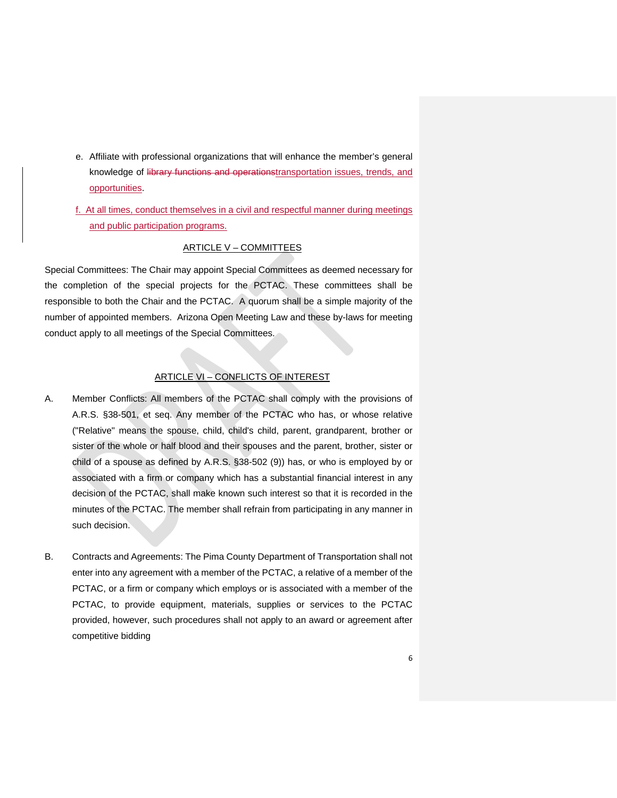- e. Affiliate with professional organizations that will enhance the member's general knowledge of library functions and operationstransportation issues, trends, and opportunities.
- f. At all times, conduct themselves in a civil and respectful manner during meetings and public participation programs.

## ARTICLE V – COMMITTEES

Special Committees: The Chair may appoint Special Committees as deemed necessary for the completion of the special projects for the PCTAC. These committees shall be responsible to both the Chair and the PCTAC. A quorum shall be a simple majority of the number of appointed members. Arizona Open Meeting Law and these by-laws for meeting conduct apply to all meetings of the Special Committees.

# ARTICLE VI – CONFLICTS OF INTEREST

- A. Member Conflicts: All members of the PCTAC shall comply with the provisions of A.R.S. §38-501, et seq. Any member of the PCTAC who has, or whose relative ("Relative" means the spouse, child, child's child, parent, grandparent, brother or sister of the whole or half blood and their spouses and the parent, brother, sister or child of a spouse as defined by A.R.S. §38-502 (9)) has, or who is employed by or associated with a firm or company which has a substantial financial interest in any decision of the PCTAC, shall make known such interest so that it is recorded in the minutes of the PCTAC. The member shall refrain from participating in any manner in such decision.
- B. Contracts and Agreements: The Pima County Department of Transportation shall not enter into any agreement with a member of the PCTAC, a relative of a member of the PCTAC, or a firm or company which employs or is associated with a member of the PCTAC, to provide equipment, materials, supplies or services to the PCTAC provided, however, such procedures shall not apply to an award or agreement after competitive bidding